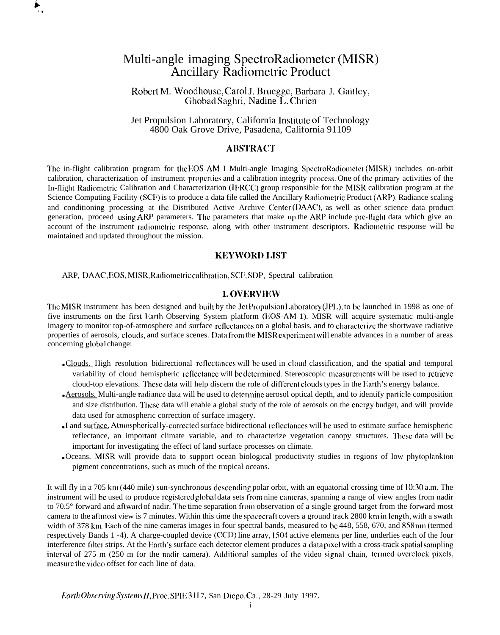# Multi-angle imaging SpcctroRadiometer (MISR) Ancillary Radiometric Product

Robert M. Woodhouse, Carol J. Bruegge, Barbara J. Gaitley. Ghobad Saghri, Nadine L. Chrien

Jet Propulsion Laboratory, California Institute of Technology 4800 Oak Grove Drive, Pasadena, California 91109

## **ABSTRACT**

The in-flight calibration program for the EOS-AM I Multi-angle Imaging SpectroRadiometer (MISR) includes on-orbit calibration, characterization of instrument properties and a calibration integrity process. One of the primary activities of the In-flight Radiomctric Calibration and Characterization (l I:RCC) group responsible for the M[SR calibration program at the Science Computing Facility (SCF) is to produce a data file called the Ancillary Radiometric Product (ARP). Radiance scaling and conditioning processing at the Distributed Active Archive Center (IIAAC), as well as other science data product generation, proceed using ARP parameters. The parameters that make up the ARP include pre-flight data which give an account of the instrument radiomctric response, along with other instrument descriptors. Radiomctric response will be maintained and updated throughout the mission.

#### **KEYWORD LIST**

ARP, DAAC, EOS, MISR, Radiometric calibration, SCF, SDP, Spectral calibration

 $\overline{\phantom{a}}$  .

## 1. OVERVIEW

The MISR instrument has been designed and built by the Jet Propulsion Laboratory (JPL), to be launched in 1998 as one of five instruments on the first Earth Observing System platform (EOS-AM 1). MISR will acquire systematic multi-angle imagery to monitor top-of-atmosphere and surface reflectances on a global basis, and to characterize the shortwave radiative properties of aerosols, clouds, and surface scenes. Data from the MISR experiment will enable advances in a number of areas concerning global change:

- Clouds. High resolution bidirectional reflectances will be used in cloud classification, and the spatial and temporal variability of cloud hemispheric reflectance will be determined. Stereoscopic measurements will be used to retrieve cloud-top elevations. These data will help discern the role of different clouds types in the Earth's energy balance.
- Aerosols. Multi-angle radiance data will be used to determine aerosol optical depth, and to identify particle composition and size distribution. These data will enable a global study of the role of aerosols on the energy budget, and will provide data used for atmospheric correction of surface imagery.
- I and surface. Atmospherically-corrected surface bidirectional reflectances will be used to estimate surface hemispheric reflectance, an important climate variable, and to characterize vegetation canopy structures. These data will be important for investigating the effect of land surface processes on climate.
- Oceans. MISR will provide data to support ocean biological productivity studies in regions of low phytoplankton pigment concentrations, such as much of the tropical oceans.

It will fly in a 705 km (440 mile) sun-synchronous descending polar orbit, with an equatorial crossing time of  $10:30$  a.m. The instrument will be used to produce registered global data sets from nine cameras, spanning a range of view angles from nadir to 70.5° forward and aftward of nadir. The time separation from observation of a single ground target from the forward most camera to the aftmost view is 7 minutes. Within this time the spacecraft covers a ground track 2800 km in length, with a swath width of 378 km. Each of the nine cameras images in four spectral bands, measured to be 448, 558, 670, and 858 nm (termed respectively Bands 1 -4). A charge-coupled device (CC1)) line array, 1504 active elements per line, underlies each of the four interference filter strips. At the Earth's surface each detector element produces a data pixel with a cross-track spatial sampling interval of 275 m (250 m for the nadir camera). Additional samples of the video signal chain, termed overclock pixels, measure the video offset for each line of data.

Earth Observing Systems II, Proc. SPIE 3117, San Diego, Ca., 28-29 Juiy 1997.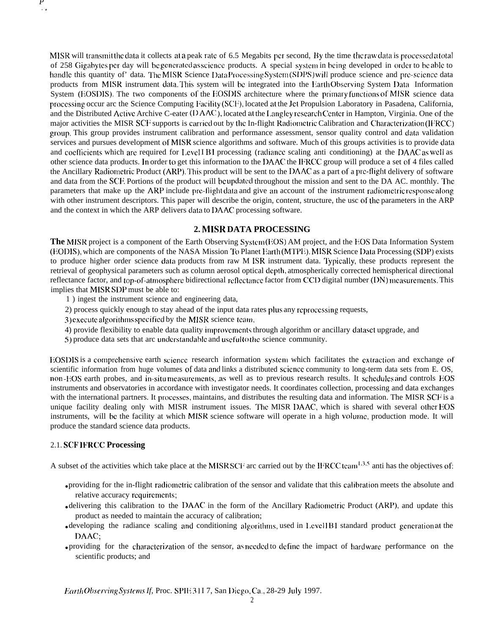MISR will transmitthe data it collects at a peak rate of 6.5 Megabits per second, By the time the raw data is processed a total of 258 C]igabytcs per day will be gcneralcd as scicncc products. A special system in being developed in order to be able to handle this quantity of' data. The MISR Science Data Processing System (SDPS) will produce science and pre-science data products from MISR instrument data. This system will be integrated into the Earth Observing System Data Information System (EOSDIS). The two components of the EOSDIS architecture where the primary functions of MISR science data processing occur arc the Science Computing Facility (SCF), located at the Jet Propulsion Laboratory in Pasadena, California, and the Distributed Active Archive C-eater  $(DAAC)$ , located at the Langley research Center in Hampton, Virginia. One of the major activities the MISR SCF supports is carried out by the In-flight Radiometric Calibration and Characterization (IFRCC) group. This group provides instrument calibration and performance assessment, sensor quality control and data validation services and pursues development of MISR science algorithms and software. Much of this groups activities is to provide data and coefficients which are required for Level I B1 processing (radiance scaling anti conditioning) at the DAAC as well as other science data products. In order to get this information to the DAAC the IFRCC group will produce a set of 4 files called the Ancillary Radiometric Product (ARP). This product will be sent to the DAAC as a part of a prc-flight delivery of software and data from the SCF. Portions of the product will be updated throughout the mission and sent to the DA AC. monthly. The parameters that make up the ARP include pre-flight data and give an account of the instrument radiometric response along with other instrument descriptors. This paper will describe the origin, content, structure, the usc of the parameters in the ARP and the context in which the ARP delivers data to DAAC processing software.

### **2. MISR DATA PROCESSING**

The MISR project is a component of the Earth Observing System (EOS) AM project, and the EOS Data Information System (EODIS), which are components of the NASA Mission To Planet Earth (MTPE). MISR Science Data Processing (SDP) exists to produce higher order science data products from raw M ISR instrument data. Typically, these products represent the retrieval of geophysical parameters such as column aerosol optical depth, atmospherically corrected hemispherical directional reflectance factor, and top-of-atmosphere bidirectional reflectance factor from CCD digital number (DN) measurements. This implies that MISR SDP must be able to:

- 1 ) ingest the instrument science and engineering data,
- 2) process quickly enough to stay ahead of the input data rates plus any reprocessing requests,
- 3) execute algorithms specified by the MISR science team,
- 4) provide flexibility to enable data quality improvements through algorithm or ancillary dataset upgrade, and
- 5) produce data sets that arc understandable and useful to the science community.

EOSDIS is a comprehensive earth science research information system which facilitates the extraction and exchange of scientific information from huge volumes of data and links a distributed science community to long-term data sets from E. OS, non-EOS earth probes, and in-situ measurements, as well as to previous research results. It schedules and controls EOS instruments and observatories in accordance with investigator needs. It coordinates collection, processing and data exchanges with the international partners. It processes, maintains, and distributes the resulting data and information. The MISR SCF is a unique facility dealing only with MISR instrument issues. The MISR DAAC, which is shared with several other EOS instruments, will be the facility at which MISR science software will operate in a high volume, production mode. It will produce the standard science data products.

#### 2.1. SCF **IFRCC Processing**

*P ,,*

A subset of the activities which take place at the MISR SCF arc carried out by the IFRCC team<sup>1,3,5</sup> anti has the objectives of:

- providing for the in-flight racliomctric calibration of the sensor and validate that this calibraticm meets the absolute and relative accuracy requirements;
- delivering this calibration to the DAAC in the form of the Ancillary Radiornetric Product (ARP), and update this product as needed to maintain the accuracy of calibration;
- developing the radiance scaling and conditioning algorithms, used in Level1B1 standard product generation at the DAAC;
- providing for the characterization of the sensor, as needed to define the impact of hardware performance on the scientific products; and

*Earth Observing Systems If, Proc. SPIE 311 7, San Diego, Ca., 28-29 July 1997.*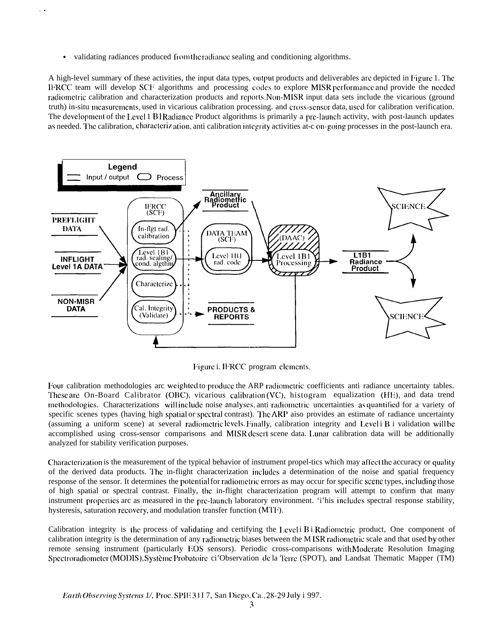$\bullet$  validating radiances produced from the radiance sealing and conditioning algorithms.

,.

A high-level summary of these activities, the input data types, output products and deliverables are depicted in Figure 1. The IFRCC team will develop SCF algorithms and processing codes to explore MISR performance and provide the needed radiometric calibration and characterization products and reports. Non-MISR input data sets include the vicarious (ground truth) in-situ measurements, used in vicarious calibration processing, and cross-sensor data, used for calibration verification. The development of the Level 1 B 1 Radiance Product algorithms is primarily a pre-launch activity, with post-launch updates as needed. The calibration, characteriz ation, anti calibration integrity activities at-c on-going processes in the post-launch era.



Figure i. IFRCC program elements.

Four calibration methodologies arc weighted to produce the ARP radiometric coefficients anti radiance uncertainty tables. These are On-Board Calibrator (OBC), vicarious calibration (VC), histogram equalization (HE), and data trend methodologies. Characterizations will include noise analyses, anti radiometric uncertainties as quantified for a variety of specific scenes types (having high spatial or spectral contrast). The ARP aiso provides an estimate of radiance uncertainty (assuming a uniform scene) at several radiometric levels. Finally, calibration integrity and Level i B i validation will be accomplished using cross-sensor comparisons and MISR desert scene data. Lunar calibration data will be additionally analyzed for stability verification purposes.

Characterization is the measurement of the typical behavior of instrument propel-tics which may affect the accuracy or quality of the derived data products. l'hc in-flight characterization inciucics a determination of the noise and spatial frequency response of the sensor. It determines the potential for radiometric errors as may occur for specific scene types, including those of high spatial or spectral contrast. Finally, the in-flight characterization program will attempt to confirm that many instrument properties arc as measured in the pre-launch laboratory environment. 'i'his includes spectral response stability, hysteresis, saturation recovery, and modulation transfer function (MTF).

Calibration integrity is the process of validating and certifying the Level i B i Radiometric product, One component of calibration integrity is the determination of any radiometric biases between the M ISR radiometric scale and that used by other remote sensing instrument (particularly EOS sensors). Periodic cross-comparisons with Moderate Resolution Imaging Spectroradiometer (MODIS), Système Probatoire ci'Observation de la Terre (SPOT), and Landsat Thematic Mapper (TM)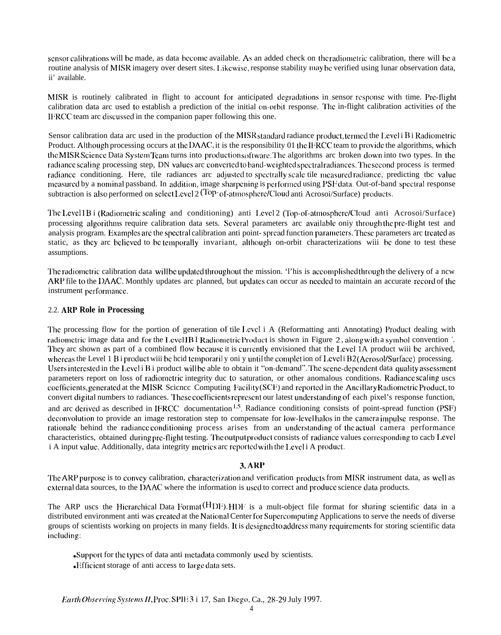sensor calibrations will be made, as data become available. As an added check on the radiometric calibration, there will be a routine analysis of MISR imagery over desert sites. Likewise, response stability may be verified using lunar observation data, ii' available.

MISR is routinely calibrated in flight to account for anticipated degradations in sensor response with time. Pre-flight calibration data arc used to establish a prediction of the initial on-orbit response. The in-flight calibration activities of the IFRCC team arc discussed in the companion paper following this one.

Sensor calibration data arc used in the production of the MISR standard radiance product, termed the Level i Bi Radiometric Product. Although processing occurs at the DAAC, it is the responsibility 01 the IFRCC team to provide the algorithms, which the MISR Science Data System Team turns into production software. The algorithms arc broken down into two types. In the radiance scaling processing step, DN values are converted to band-weighted spectral radiances. The second process is termed radiance conditioning. Here, tile radiances are adjusted to spectrally scale tile measured radiance, predicting tbc value measured by a nominal passband. In addition, image sharpening is performed using PSF data. Out-of-band spectral response subtraction is also performed on select Level 2 (Top- of-atmosphere/Cloud anti Acrosoi/Surface) products.

The Level 1 B i (Radiometric scaling and conditioning) anti-Level 2 (Top-of-atmosphere/Cloud anti-Acrosoi/Surface) processing algorithms require calibration data sets. Several parameters arc available only through the pre-flight test and analysis program. Examples are the spectral calibration anti-point-spread function parameters. These parameters are treated as static, as they are believed to be temporally invariant, although on-orbit characterizations will be done to test these assumptions.

The radiometric calibration data will be updated throughout the mission. This is accomplished through the delivery of a new ARP file to the DAAC. Monthly updates arc planned, but updates can occur as needed to maintain an accurate record of the instrument performance.

### 2.2. ARP Role in Processing

The processing flow for the portion of generation of tile Level i A (Reformatting anti Annotating) Product dealing with radiometric image data and for the Level1B I Radiometric Product is shown in Figure 2, along with a symbol convention '. They are shown as part of a combined flow because it is currently envisioned that the Level 1A product wiii be archived, whereas the Level 1 B i product wiii be held temporarily oni y until the completion of Level i B2(Aerosol/Surface) processing. Users interested in the Level i B i product will be able to obtain it "on-demand". The scene-dependent data quality assessment parameters report on loss of radiometric integrity duc to saturation, or other anomalous conditions. Radiance scaling uscs coefficients, generated at the MISR Science Computing Facility (SCF) and reported in the Ancillary Radiometric Product, to convert digital numbers to radiances. These coefficients represent our latest understanding of each pixel's response function, and arc derived as described in IFRCC documentation<sup>1,5</sup>. Radiance conditioning consists of point-spread function (PSF) deconvolution to provide an image restoration step to compensate for low-levelhalos in the camera impulse response. The rationale behind the radiance conditioning process arises from an understanding of the actual camera performance characteristics, obtained during pre-flight testing. The output product consists of radiance values corresponding to cacb Level i A input value. Additionally, data integrity metrics are reported with the Level i A product.

### 3. ARP

The ARP purpose is to convey calibration, characterization and verification products from MISR instrument data, as well as external data sources, to the DAAC where the information is used to correct and produce science data products.

The ARP uscs the Hierarchical Data Format  $(HDF)$ . HDF is a mult-object file format for sharing scientific data in a distributed environment anti was created at the National Center for Supercomputing Applications to serve the needs of diverse groups of scientists working on projects in many fields. It is designed to address many requirements for storing scientific data including:

•Support for the types of data anti-metadata commonly used by scientists. • Efficient storage of anti access to large data sets.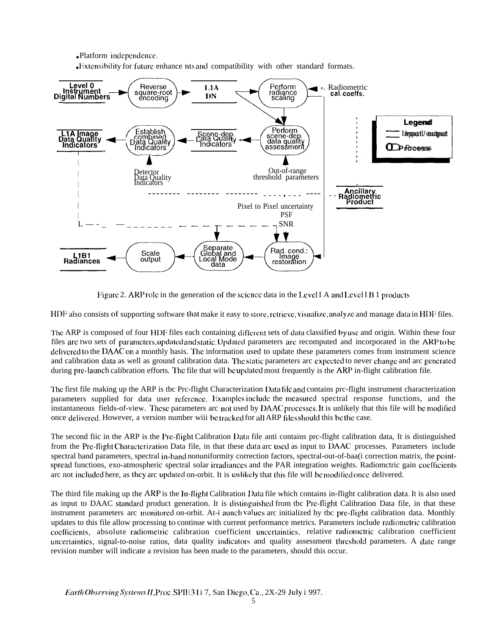- .Platform independence.
- Extensibility for future enhance nts and compatibility with other standard formats.



Figure 2. ARP role in the generation of the science data in the Level I A and Level I B 1 products

HDF also consists of supporting software that make it easy to store, retrieve, visualize, analyze and manage data in HDF files.

The ARP is composed of four HDF files each containing different sets of data classified by use and origin. Within these four files are two sets of parameters, updated and static. Updated parameters are recomputed and incorporated in the ARP to be delivered to the DAAC on a monthly basis. The information used to update these parameters comes from instrument science and calibration data as well as ground calibration data. The static parameters are expected to never change and are generated during pre-launch calibration efforts. The file that will be updated most frequently is the ARP in-flight calibration file.

The first file making up the ARP is the Pre-flight Characterization Data file and contains pre-flight instrument characterization parameters supplied for data user reference. Examples include the measured spectral response functions, and the instantaneous fields-of-view. These parameters are not used by DAAC processes. It is unlikely that this file will be modified once delivered. However, a version number wiii be tracked for all ARP files should this be the case.

The second fiic in the ARP is the Pre-flight Calibration Data file anti contains prc-flight calibration data, It is distinguished from the Pre-flight Characterization Data file, in that these data arc used as input to DAAC processes. Parameters include spectral band parameters, spectral in-band nonuniformity correction factors, spectral-out-of-baa(i correction matrix, the pointspread functions, exo-atmospheric spectral solar irradiances and the PAR integration weights. Radiometric gain coefficients are not included here, as they are updated on-orbit. It is unlikely that this file will be modified once delivered.

The third file making up the ARP is the In-flight Calibration Data file which contains in-flight calibration data. It is also used as input to DAAC standard product generation. It is distinguished from the Pre-flight Calibration Data file, in that these instrument parameters are monitored on-orbit. At-i aunch values are initialized by the pre-flight calibration data. Monthly updates to this file allow processing to continue with current performance metrics. Parameters include radiometric calibration coefficients, absolute radiometric calibration coefficient uncertainties, relative radiometric calibration coefficient uncertainties, signal-to-noise ratios, data quality indicators and quality assessment threshold parameters. A date range revision number will indicate a revision has been made to the parameters, should this occur.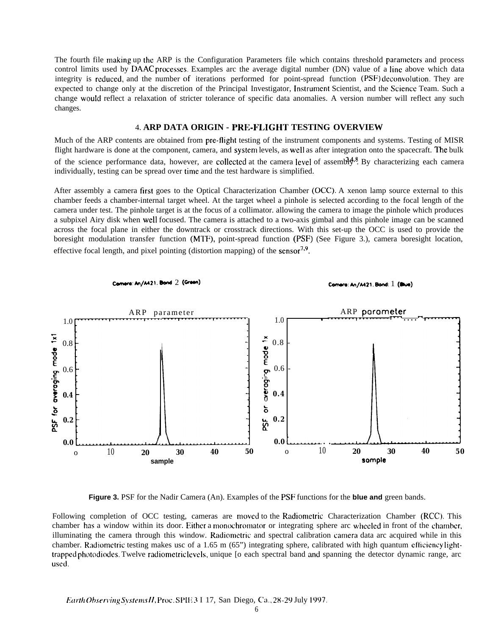The fourth file making up the ARP is the Configuration Parameters file which contains threshold parameters and process control limits used by DAAC processes. Examples arc the average digital number (DN) value of a line above which data integrity is reduced, and the number of iterations performed for point-spread function (PSF) deconvolution. They are expected to change only at the discretion of the Principal Investigator, tnstrumcnt Scientist, and the Scicncc Team. Such a change would reflect a relaxation of stricter tolerance of specific data anomalies. A version number will reflect any such changes.

#### 4. **ARP DATA ORIGIN - PRE-FLIGHT TESTING OVERVIEW**

Much of the ARP contents are obtained from pre-flight testing of the instrument components and systems. Testing of MISR flight hardware is done at the component, camera, and system levels, as well as after integration onto the spacecraft. The bulk of the science performance data, however, are collected at the camera level of assembly.<sup>3</sup>, By characterizing each camera individually, testing can be spread over time and the test hardware is simplified.

After assembly a camera first goes to the Optical Characterization Chamber (OCC). A xenon lamp source external to this chamber feeds a chamber-internal target wheel. At the target wheel a pinhole is selected according to the focal length of the camera under test. The pinhole target is at the focus of a collimator. allowing the camera to image the pinhole which produces a subpixel Airy disk when WCII focused. The camera is attached to a two-axis gimbal and this pinhole image can be scanned across the focal plane in either the downtrack or crosstrack directions. With this set-up the OCC is used to provide the boresight modulation transfer function (M'IT), point-spread function (PSF) (See Figure 3.), camera boresight location, effective focal length, and pixel pointing (distortion mapping) of the sensor<sup>7,9</sup>.



**Figure 3.** PSF for the Nadir Camera (An). Examples of the PSF functions for the **blue and** green bands.

Following completion of OCC testing, cameras are moved to the Radiometric Characterization Chamber (RCC). This chamber has a window within its door. Either a monochromator or integrating sphere arc wheeled in front of the chamber, illuminating the camera through this window. Radiomctric and spectral calibration camera data arc acquired while in this chamber. Rndiomctric testing makes usc of a 1.65 m (65") integrating sphere, calibrated with high quantum cfliciency lighttrappcd photodiodcs. Twelve radiomctric Icvels, unique [o each spectral band and spanning the detector dynamic range, arc used.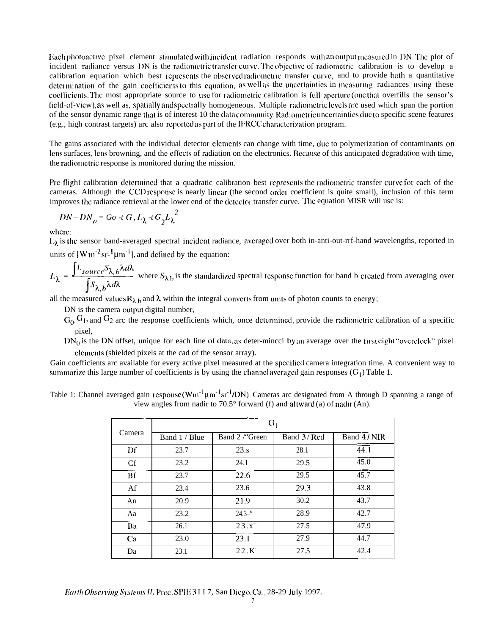Each photoactive pixel clement stimulated with incident radiation responds with an output measured in DN. The plot of incident radiance versus DN is the radiometric transfer curve. The objective of radiometric calibration is to develop a calibration equation which best represents the observed radiometric transfer curve, and to provide both a quantitative determination of the gain coefficients to this equation, as well as the uncertainties in measuring radiances using these coefficients. The most appropriate source to use for radiometric calibration is full-aperture (one that overfills the sensor's field-of-view), as well as, spatially and spectrally homogeneous. Multiple radiometric levels are used which span the portion of the sensor dynamic range that is of interest 10 the data community. Radiometric uncertainties due to specific scene features (e.g., high contrast targets) arc also reported as part of the IFRCC characterization program.

The gains associated with the individual detector clements can change with time, due to polymerization of contaminants on lens surfaces, lens browning, and the effects of radiation on the electronics. Because of this anticipated degradation with time, the radiometric response is monitored during the mission.

Pre-flight calibration determined that a quadratic calibration best represents the radiometric transfer curve for each of the cameras. Although the CCD response is nearly linear (the second order coefficient is quite small), inclusion of this term improves the radiance retrieval at the lower end of the detector transfer curve. The equation MISR will use is:

$$
DN - DN_{\rho} = Go - t \ G, L_{\lambda} - t G_2 L_{\lambda}^2
$$

where:

 $L_{\lambda}$  is the sensor band-averaged spectral incident radiance, averaged over both in-anti-out-rrf-hand wavelengths, reported in units of  $[W \text{ m}^{-2} \text{ sr}^{-1} \text{ \mu m}^{-1}]$ , and defined by the equation:

 $L_{\lambda} = \frac{\int L_{source} S_{\lambda, b} \lambda d\lambda}{\int S_{\lambda, b} \lambda d\lambda}$  where  $S_{\lambda, b}$  is the standardized spectral response function for band b created from averaging over

all the measured values  $R_{\lambda,b}$  and  $\lambda$  within the integral converts from units of photon counts to energy;

DN is the camera output digital number,

 $G_0$ ,  $G_1$ , and  $G_2$  are the response coefficients which, once determined, provide the radiometric calibration of a specific pixel.

 $DN_0$  is the DN offset, unique for each line of data, as deter-minoci by an average over the first cight "overclock" pixel elements (shielded pixels at the cad of the sensor array).

Gain coefficients arc available for every active pixel measured at the specified camera integration time. A convenient way to summarize this large number of coefficients is by using the channel averaged gain responses  $(G_1)$  Table 1.

Table 1: Channel averaged gain response (Wm<sup>-1</sup>µm<sup>-1</sup>sr<sup>-1</sup>/DN). Cameras arc designated from A through D spanning a range of view angles from nadir to 70.5 $^{\circ}$  forward (f) and aftward (a) of nadir (An).

| Camera    | $G_1$         |                |            |            |
|-----------|---------------|----------------|------------|------------|
|           | Band 1 / Blue | Band 2 / Green | Band 3/Red | Band 4/NIR |
| Df        | 23.7          | 23.s           | 28.1       | 44.1       |
| <b>Cf</b> | 23.2          | 24.1           | 29.5       | 45.0       |
| Bf        | 23.7          | 22.6           | 29.5       | 45.7       |
| Af        | 23.4          | 23.6           | 29.3       | 43.8       |
| An        | 20.9          | 21.9           | 30.2       | 43.7       |
| Aa        | 23.2          | $24.3-$ "      | 28.9       | 42.7       |
| Ba        | 26.1          | $23.x^{-}$     | 27.5       | 47.9       |
| Ca        | 23.0          | 23.1           | 27.9       | 44.7       |
| Da        | 23.1          | 22.K           | 27.5       | 42.4       |

*Earth Observing Systems II, Proc. SPIE 3117, San Dicgo, Ca., 28-29 July 1997.*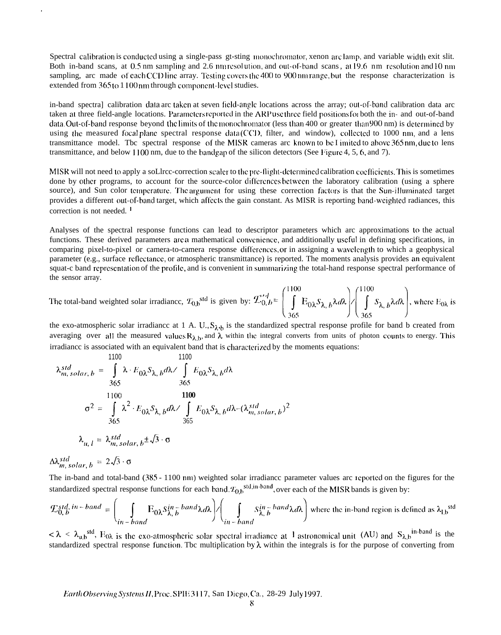Spectral calibration is conducted using a single-pass gt-sting monochromator, xenon arclamp, and variable width exit slit. Both in-band scans, at  $0.5$  nm sampling and  $2.6$  nm resolution, and out-of-band scans, at  $19.6$  nm resolution and  $10$  nm sampling, arc made of each CCD line array. Testing covers the 400 to 900 nm range, but the response characterization is extended from  $365$  to  $1100$  nm through component-level studies.

in-band spectra] calibration data arc taken at seven field-angle locations across the array; out-of-band calibration data arc taken at three field-angle locations. Parameters reported in the ARP use three field positions for both the in- and out-of-band data. Out-of-band response beyond the limits of the monochromator (less than 400 or greater than 900 nm) is determined by using the measured focal plane spectral response data  $(CCD)$ , filter, and window), collected to 1000 nm, and a lens transmittance model. Tbc spectral response of the MISR cameras arc known to be I imitcd to above 365 nm, due to lens transmittance, and below 1100 nm, due to the bandgap of the silicon detectors (See Figure 4, 5, 6, and 7).

MISR will not need to apply a soLlrcc-correction scaler to the pre-flight-determined calibration coefficients. This is sometimes done by other programs, to account for the source-color differences between the laboratory calibration (using a sphere source), and Sun color temperature. The argument for using these correction factors is that the Sun-illuminated target provides a different out-of-band target, which affects the gain constant. As MISR is reporting band-weighted radiances, this correction is not needed.<sup>1</sup>

Analyses of the spectral response functions can lead to descriptor parameters which arc approximations to the actual functions. These derived parameters are a mathematical convenience, and additionally useful in defining specifications, in comparing pixel-to-pixel or camera-to-camera response differences, or in assigning a wavelength to which a geophysical parameter (e.g., surface rcflcctancc, or atmospheric transmittance) is reported. The moments analysis provides an equivalent squat-c band representation of the profile, and is convenient in summarizing the total-hand response spectral performance of the sensor array.

The total-band weighted solar irradiance,  $T_{0,b}$ <sup>std</sup> is given by:  $\mathcal{L}_{0,b} = \left[ \int_{365} E_{0\lambda} S_{\lambda, b} \lambda d\lambda \right] / \left[ \int_{365} S_{\lambda, b} \lambda d\lambda \right]$ , where  $E_{0\lambda}$  is

the exo-atmospheric solar irradiancc at 1 A. U.,  $S_{\lambda_1 b}$  is the standardized spectral response profile for band b created from averaging over all the measured values  $R_{\lambda,b}$ , and  $\lambda$  within the integral converts from units of photon counts to energy. This irradiance is associated with an equivalent band that is characterized by the moments equations:

$$
\lambda_{m, solar, b}^{std} = \int_{365}^{\infty} \lambda \cdot E_{0\lambda} S_{\lambda, b} d\lambda / \int_{365}^{\infty} E_{0\lambda} S_{\lambda, b} d\lambda
$$
  

$$
\sigma^2 = \int_{365}^{\infty} \lambda^2 \cdot E_{0\lambda} S_{\lambda, b} d\lambda / \int_{365}^{\infty} E_{0\lambda} S_{\lambda, b} d\lambda - (\lambda_{m, solar, b}^{std})^2
$$
  

$$
\lambda_{u, l} = \lambda_{m, solar, b}^{std} \pm \sqrt{3} \cdot \sigma
$$

1100 1100

$$
\Delta\lambda_{m, \, solar, \, b}^{std} = 2\sqrt{3} \cdot \sigma
$$

The in-band and total-band (385 - 1100 nm) weighted solar irradiance parameter values arc reported on the figures for the standardized spectral response functions for each band.  $T_{0,b}$ <sup>std,in-hand</sup>, over each of the MISR bands is given by:

$$
\mathcal{L}_{0,b}^{std, in-band} = \left(\int_{in-band} E_{0\lambda} S_{\lambda,b}^{in-band} \lambda d\lambda\right) / \left(\int_{in-band} S_{\lambda,b}^{in-band} \lambda d\lambda\right)
$$
 where the in-band region is defined as  $\lambda_{1,b}$ 

 $\langle \lambda \rangle \langle \lambda_{\mu} \rangle$  and  $S_{\lambda,b}$  is the exo-atmospheric solar spectral irradiance at 1 astronomical unit (AU) and  $S_{\lambda,b}$ <sup>th-band</sup> is the standardized spectral response function. Tbc multiplication by  $\lambda$  within the integrals is for the purpose of converting from

*Earth Observing Systems II*, Proc. SPIE 3117, San Diego, Ca., 28-29 July 1997.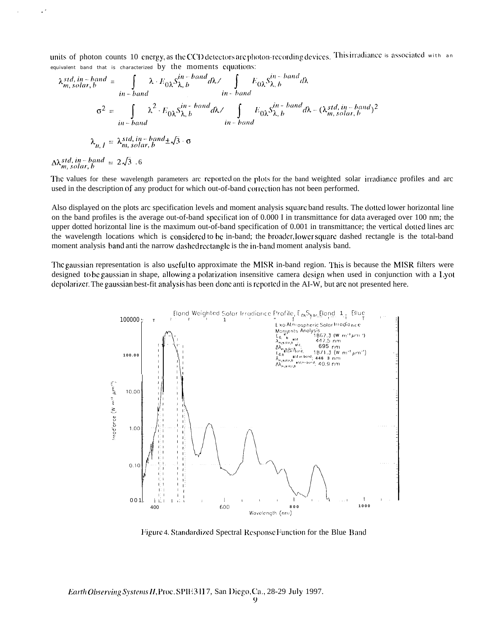units of photon counts 10 energy, as the CCD detectors are photon-recording devices. This irradiance is associated with an equivalent band that is characterized by the moments equations:

$$
\lambda_{m, solar, b}^{std, in-band} = \int_{in-band} \lambda \cdot E_{0\lambda} S_{\lambda, b}^{in-band} d\lambda / \int_{in-band} E_{0\lambda} S_{\lambda, b}^{in-band} d\lambda
$$
  
\n
$$
\sigma^2 = \int_{in-band} \lambda^2 \cdot E_{0\lambda} S_{\lambda, b}^{in-band} d\lambda / \int_{in-band} E_{0\lambda} S_{\lambda, b}^{in-band} d\lambda - (\lambda_{m, solar, b}^{std, in-band})^2
$$
  
\n
$$
\lambda_{u, l} = \lambda_{m, solar, b}^{std, in-band} \pm \sqrt{3} \cdot \sigma
$$
  
\n
$$
\Delta \lambda_{m, solar, b}^{std, in-band} = 2\sqrt{3} \cdot 6
$$

The values for these wavelength parameters are reported on the plots for the band weighted solar irradiance profiles and are used in the description of any product for which out-of-band correction has not been performed.

Also displayed on the plots arc specification levels and moment analysis square band results. The dotted lower horizontal line on the band profiles is the average out-of-band specificat ion of 0.000 I in transmittance for data averaged over 100 nm; the upper dotted horizontal line is the maximum out-of-band specification of 0.001 in transmittance; the vertical dotted lines arc the wavelength locations which is considered to be in-band; the broader, lower square dashed rectangle is the total-band moment analysis band anti the narrow dashed rectangle is the in-band moment analysis band.

The gaussian representation is also usefulto approximate the MISR in-band region. This is because the MISR filters were designed to be gaussian in shape, allowing a polarization insensitive camera design when used in conjunction with a Lyot depolarizer. The gaussian best-fit analysis has been done anti is reported in the AI-W, but are not presented here.



Figure 4. Standardized Spectral Response Function for the Blue Band

Earth Observing Systems II, Proc. SPIE 3117, San Diego, Ca., 28-29 July 1997.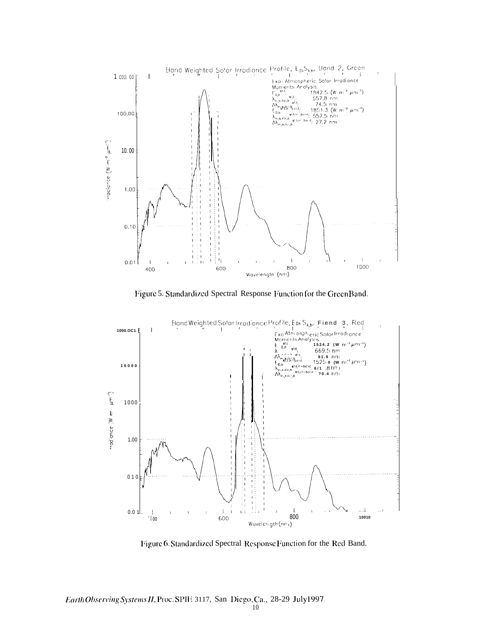

Figure 5. Standardized Spectral Response Function for the Green Band.



Figure 6. Standardized Spectral Response Function for the Red Band.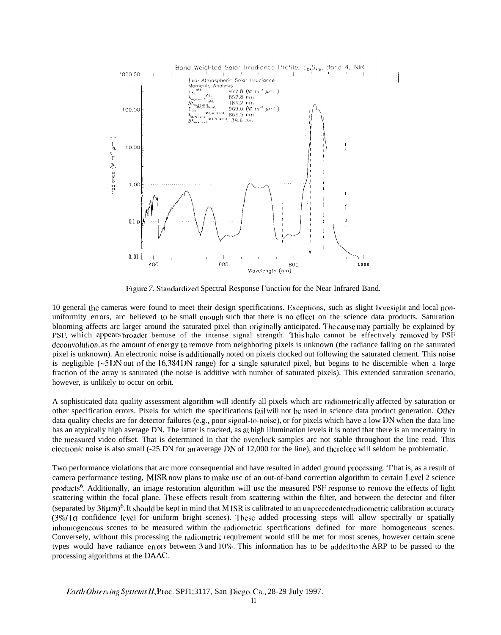

Figure 7. Standardized Spectral Response I<sup>t</sup>unction for the Near Infrared Band.

10 general the cameras were found to meet their design specifications. Exceptions, such as slight boresight and local nonuniformity errors, arc believed to be small enough such that there is no effect on the science data products. Saturation blooming affects arc larger around the saturated pixel than originally anticipated. I'he cause may partially be explained by PSF, which appears broader bemuse of the intense signal strength. This halo cannot be effectively removed by PSF deconvolution, as the amount of energy to remove from neighboring pixels is unknown (the radiance falling on the saturated pixel is unknown). An electronic noise is aciditionally noted on pixels clocked out following the saturated clement. This noise is negligible  $(-51)$ N out of the 16,384 DN range) for a single saturated pixel, but begins to be discernible when a large fraction of the array is saturated (the noise is additive with number of saturated pixels). This extended saturation scenario, however, is unlikely to occur on orbit.

A sophisticated data quality assessment algorithm will identify all pixels which arc radiomctrically affected by saturation or other specification errors. Pixels for which the specifications fail will not be used in science data product generation. Other data quality checks are for detector failures (e.g., poor signal-to-noise), or for pixels which have a low DN when the data line has an atypically high average DN. The latter is tracked, as at high illumination levels it is noted that there is an uncertainty in the measured video offset. That is determined in that the overclock samples arc not stable throughout the line read. This clectronic noise is also small (-25 DN for an average DN of 12,000 for the line), and therefore will seldom be problematic.

Two performance violations that arc more consequential and have resulted in added ground processing. That is, as a result of camera performance testing, MISR now plans to make usc of an out-of-band correction algorithm to certain I.evcl 2 science products<sup>6</sup>. Additionally, an image restoration algorithm will use the measured PSF response to remove the effects of light scattering within the focal plane. These effects result from scattering within the filter, and between the detector and filter (separated by  $38 \mu m$ )<sup>6</sup>. It should be kept in mind that M ISR is calibrated to an unprecedented radiometric calibration accuracy (3%/10 confidence level for uniform bright scenes). These added processing steps will allow spectrally or spatially inhomogcneous scenes to be measured within the racliomctric specifications defined for more homogeneous scenes. Conversely, without this processing the radiomctric requirement would still be met for most scenes, however certain scene types would have radiance crrors between  $3$  and  $10\%$ . This information has to be added to the ARP to be passed to the processing algorithms at the DAAC.